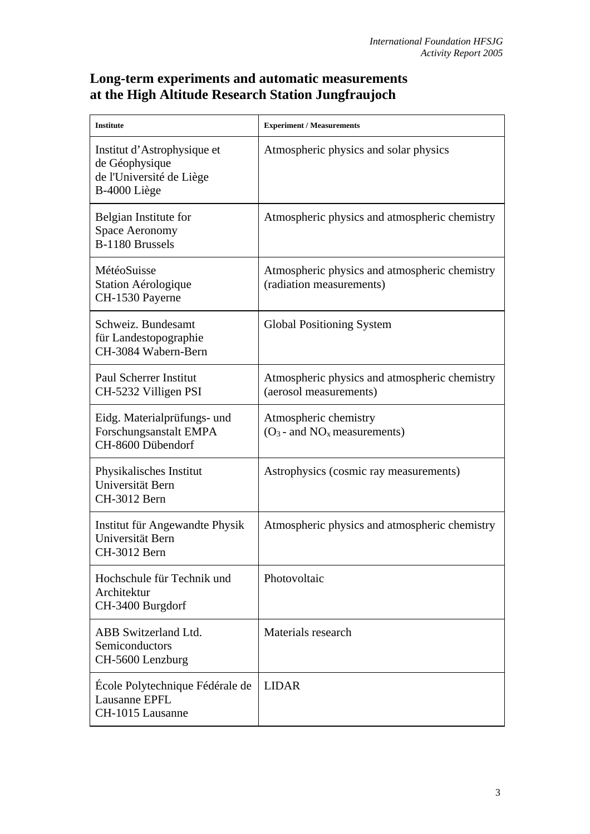## **Long-term experiments and automatic measurements at the High Altitude Research Station Jungfraujoch**

| <b>Institute</b>                                                                          | <b>Experiment / Measurements</b>                                          |
|-------------------------------------------------------------------------------------------|---------------------------------------------------------------------------|
| Institut d'Astrophysique et<br>de Géophysique<br>de l'Université de Liège<br>B-4000 Liège | Atmospheric physics and solar physics                                     |
| Belgian Institute for<br><b>Space Aeronomy</b><br>B-1180 Brussels                         | Atmospheric physics and atmospheric chemistry                             |
| MétéoSuisse<br>Station Aérologique<br>CH-1530 Payerne                                     | Atmospheric physics and atmospheric chemistry<br>(radiation measurements) |
| Schweiz. Bundesamt<br>für Landestopographie<br>CH-3084 Wabern-Bern                        | <b>Global Positioning System</b>                                          |
| <b>Paul Scherrer Institut</b><br>CH-5232 Villigen PSI                                     | Atmospheric physics and atmospheric chemistry<br>(aerosol measurements)   |
| Eidg. Materialprüfungs- und<br>Forschungsanstalt EMPA<br>CH-8600 Dübendorf                | Atmospheric chemistry<br>$(O_3$ - and $NO_x$ measurements)                |
| Physikalisches Institut<br>Universität Bern<br>CH-3012 Bern                               | Astrophysics (cosmic ray measurements)                                    |
| Institut für Angewandte Physik<br>Universität Bern<br>CH-3012 Bern                        | Atmospheric physics and atmospheric chemistry                             |
| Hochschule für Technik und<br>Architektur<br>CH-3400 Burgdorf                             | Photovoltaic                                                              |
| <b>ABB</b> Switzerland Ltd.<br>Semiconductors<br>CH-5600 Lenzburg                         | Materials research                                                        |
| Ecole Polytechnique Fédérale de<br>Lausanne EPFL<br>CH-1015 Lausanne                      | <b>LIDAR</b>                                                              |